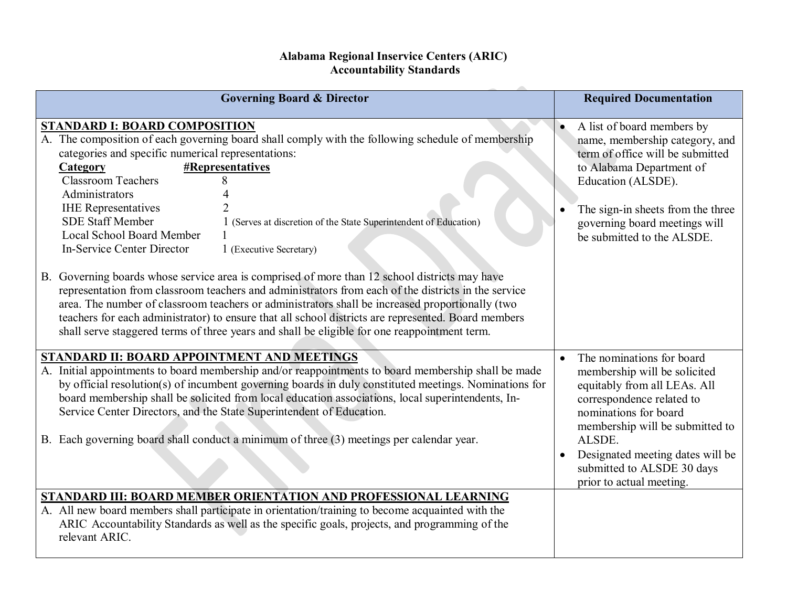## **Alabama Regional Inservice Centers (ARIC) Accountability Standards**

| <b>Governing Board &amp; Director</b>                                                                                                                                                                                                                                                                                                                                                                                                                                                                                                                                                                           | <b>Required Documentation</b>                                                                                                                                                                                                                                                              |
|-----------------------------------------------------------------------------------------------------------------------------------------------------------------------------------------------------------------------------------------------------------------------------------------------------------------------------------------------------------------------------------------------------------------------------------------------------------------------------------------------------------------------------------------------------------------------------------------------------------------|--------------------------------------------------------------------------------------------------------------------------------------------------------------------------------------------------------------------------------------------------------------------------------------------|
| <b>STANDARD I: BOARD COMPOSITION</b><br>A. The composition of each governing board shall comply with the following schedule of membership<br>categories and specific numerical representations:<br>#Representatives<br>Category<br><b>Classroom Teachers</b><br>8<br>Administrators<br><b>IHE</b> Representatives<br><b>SDE Staff Member</b><br>1 (Serves at discretion of the State Superintendent of Education)<br>Local School Board Member<br><b>In-Service Center Director</b><br>1 (Executive Secretary)<br>B. Governing boards whose service area is comprised of more than 12 school districts may have | A list of board members by<br>name, membership category, and<br>term of office will be submitted<br>to Alabama Department of<br>Education (ALSDE).<br>The sign-in sheets from the three<br>governing board meetings will<br>be submitted to the ALSDE.                                     |
| representation from classroom teachers and administrators from each of the districts in the service<br>area. The number of classroom teachers or administrators shall be increased proportionally (two<br>teachers for each administrator) to ensure that all school districts are represented. Board members<br>shall serve staggered terms of three years and shall be eligible for one reappointment term.                                                                                                                                                                                                   |                                                                                                                                                                                                                                                                                            |
| STANDARD II: BOARD APPOINTMENT AND MEETINGS<br>A. Initial appointments to board membership and/or reappointments to board membership shall be made<br>by official resolution(s) of incumbent governing boards in duly constituted meetings. Nominations for<br>board membership shall be solicited from local education associations, local superintendents, In-<br>Service Center Directors, and the State Superintendent of Education.<br>B. Each governing board shall conduct a minimum of three (3) meetings per calendar year.                                                                            | The nominations for board<br>membership will be solicited<br>equitably from all LEAs. All<br>correspondence related to<br>nominations for board<br>membership will be submitted to<br>ALSDE.<br>Designated meeting dates will be<br>submitted to ALSDE 30 days<br>prior to actual meeting. |
| STANDARD III: BOARD MEMBER ORIENTATION AND PROFESSIONAL LEARNING<br>A. All new board members shall participate in orientation/training to become acquainted with the<br>ARIC Accountability Standards as well as the specific goals, projects, and programming of the<br>relevant ARIC.                                                                                                                                                                                                                                                                                                                         |                                                                                                                                                                                                                                                                                            |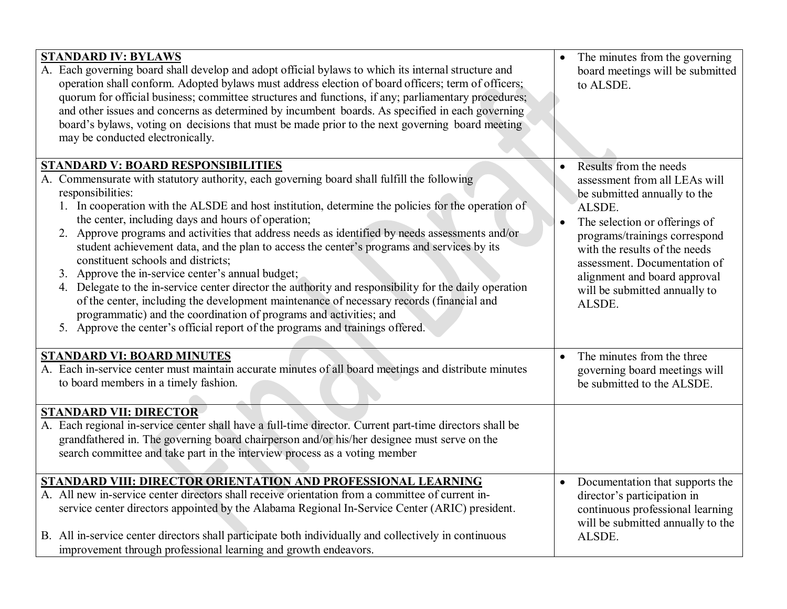| <b>STANDARD IV: BYLAWS</b><br>A. Each governing board shall develop and adopt official bylaws to which its internal structure and<br>operation shall conform. Adopted bylaws must address election of board officers; term of officers;<br>quorum for official business; committee structures and functions, if any; parliamentary procedures;<br>and other issues and concerns as determined by incumbent boards. As specified in each governing<br>board's bylaws, voting on decisions that must be made prior to the next governing board meeting<br>may be conducted electronically.                                                                                                                                                                                                                                                                                                                                                                                              |           | The minutes from the governing<br>board meetings will be submitted<br>to ALSDE.                                                                                                                                                                                                                                 |
|---------------------------------------------------------------------------------------------------------------------------------------------------------------------------------------------------------------------------------------------------------------------------------------------------------------------------------------------------------------------------------------------------------------------------------------------------------------------------------------------------------------------------------------------------------------------------------------------------------------------------------------------------------------------------------------------------------------------------------------------------------------------------------------------------------------------------------------------------------------------------------------------------------------------------------------------------------------------------------------|-----------|-----------------------------------------------------------------------------------------------------------------------------------------------------------------------------------------------------------------------------------------------------------------------------------------------------------------|
| <b>STANDARD V: BOARD RESPONSIBILITIES</b><br>A. Commensurate with statutory authority, each governing board shall fulfill the following<br>responsibilities:<br>1. In cooperation with the ALSDE and host institution, determine the policies for the operation of<br>the center, including days and hours of operation;<br>Approve programs and activities that address needs as identified by needs assessments and/or<br>2.<br>student achievement data, and the plan to access the center's programs and services by its<br>constituent schools and districts;<br>3. Approve the in-service center's annual budget;<br>4. Delegate to the in-service center director the authority and responsibility for the daily operation<br>of the center, including the development maintenance of necessary records (financial and<br>programmatic) and the coordination of programs and activities; and<br>5. Approve the center's official report of the programs and trainings offered. | $\bullet$ | Results from the needs<br>assessment from all LEAs will<br>be submitted annually to the<br>ALSDE.<br>The selection or offerings of<br>programs/trainings correspond<br>with the results of the needs<br>assessment. Documentation of<br>alignment and board approval<br>will be submitted annually to<br>ALSDE. |
| <b>STANDARD VI: BOARD MINUTES</b><br>A. Each in-service center must maintain accurate minutes of all board meetings and distribute minutes<br>to board members in a timely fashion.                                                                                                                                                                                                                                                                                                                                                                                                                                                                                                                                                                                                                                                                                                                                                                                                   | $\bullet$ | The minutes from the three<br>governing board meetings will<br>be submitted to the ALSDE.                                                                                                                                                                                                                       |
| <b>STANDARD VII: DIRECTOR</b><br>A. Each regional in-service center shall have a full-time director. Current part-time directors shall be<br>grandfathered in. The governing board chairperson and/or his/her designee must serve on the<br>search committee and take part in the interview process as a voting member                                                                                                                                                                                                                                                                                                                                                                                                                                                                                                                                                                                                                                                                |           |                                                                                                                                                                                                                                                                                                                 |
| STANDARD VIII: DIRECTOR ORIENTATION AND PROFESSIONAL LEARNING<br>A. All new in-service center directors shall receive orientation from a committee of current in-<br>service center directors appointed by the Alabama Regional In-Service Center (ARIC) president.<br>B. All in-service center directors shall participate both individually and collectively in continuous<br>improvement through professional learning and growth endeavors.                                                                                                                                                                                                                                                                                                                                                                                                                                                                                                                                       |           | • Documentation that supports the<br>director's participation in<br>continuous professional learning<br>will be submitted annually to the<br>ALSDE.                                                                                                                                                             |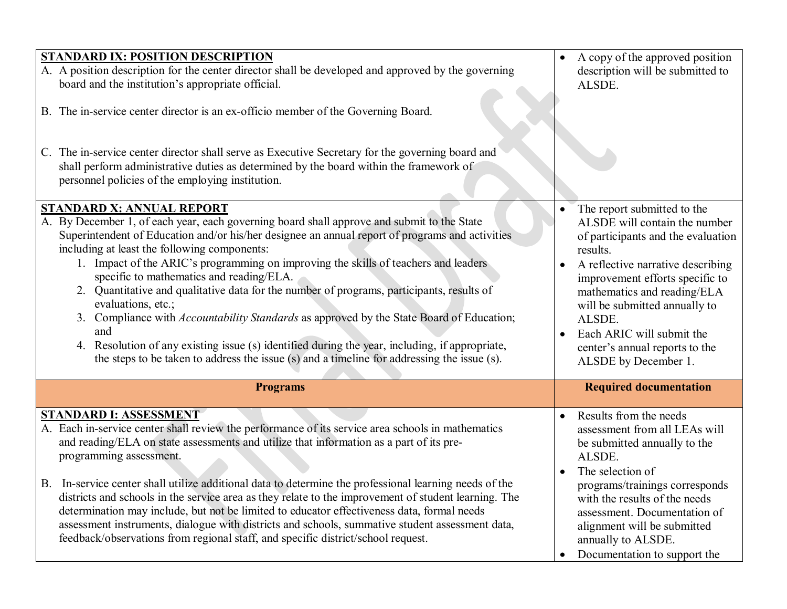| A copy of the approved position<br>description will be submitted to<br>ALSDE.                                                                                                                                                                                                                                                                                                     |
|-----------------------------------------------------------------------------------------------------------------------------------------------------------------------------------------------------------------------------------------------------------------------------------------------------------------------------------------------------------------------------------|
|                                                                                                                                                                                                                                                                                                                                                                                   |
| The report submitted to the<br>ALSDE will contain the number<br>of participants and the evaluation<br>results.<br>A reflective narrative describing<br>$\bullet$<br>improvement efforts specific to<br>mathematics and reading/ELA<br>will be submitted annually to<br>ALSDE.<br>Each ARIC will submit the<br>$\bullet$<br>center's annual reports to the<br>ALSDE by December 1. |
| <b>Required documentation</b>                                                                                                                                                                                                                                                                                                                                                     |
| Results from the needs<br>$\bullet$<br>assessment from all LEAs will<br>be submitted annually to the<br>ALSDE.<br>The selection of<br>$\bullet$<br>programs/trainings corresponds<br>with the results of the needs<br>assessment. Documentation of<br>alignment will be submitted<br>annually to ALSDE.<br>Documentation to support the                                           |
|                                                                                                                                                                                                                                                                                                                                                                                   |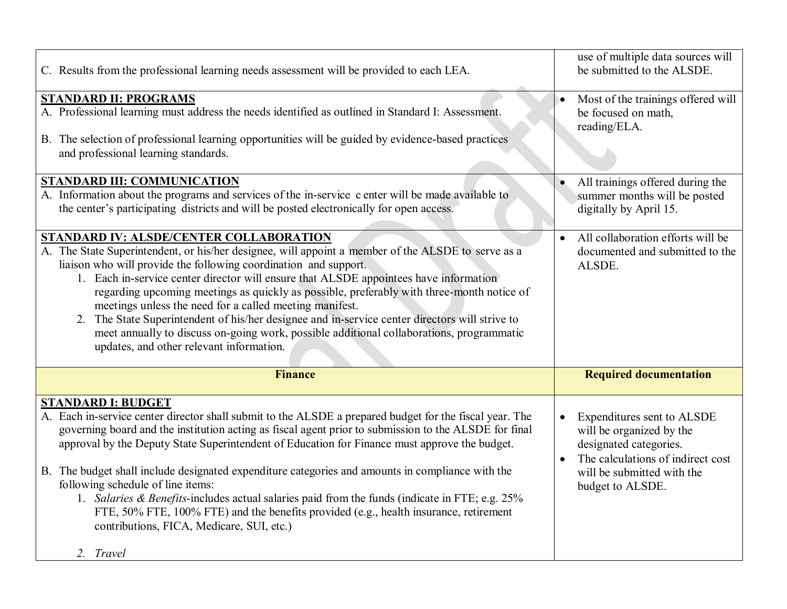| C. Results from the professional learning needs assessment will be provided to each LEA.                                                   | use of multiple data sources will<br>be submitted to the ALSDE. |
|--------------------------------------------------------------------------------------------------------------------------------------------|-----------------------------------------------------------------|
| <b>STANDARD II: PROGRAMS</b>                                                                                                               | Most of the trainings offered will                              |
| A. Professional learning must address the needs identified as outlined in Standard I: Assessment.                                          | be focused on math,                                             |
|                                                                                                                                            | reading/ELA.                                                    |
| B. The selection of professional learning opportunities will be guided by evidence-based practices<br>and professional learning standards. |                                                                 |
| <b>STANDARD III: COMMUNICATION</b>                                                                                                         | All trainings offered during the                                |
| A. Information about the programs and services of the in-service c enter will be made available to                                         | summer months will be posted                                    |
| the center's participating districts and will be posted electronically for open access.                                                    | digitally by April 15.                                          |
|                                                                                                                                            |                                                                 |
| <b>STANDARD IV: ALSDE/CENTER COLLABORATION</b>                                                                                             | All collaboration efforts will be                               |
| A. The State Superintendent, or his/her designee, will appoint a member of the ALSDE to serve as a                                         | documented and submitted to the                                 |
| liaison who will provide the following coordination and support.                                                                           | ALSDE.                                                          |
| 1. Each in-service center director will ensure that ALSDE appointees have information                                                      |                                                                 |
| regarding upcoming meetings as quickly as possible, preferably with three-month notice of                                                  |                                                                 |
| meetings unless the need for a called meeting manifest.                                                                                    |                                                                 |
| The State Superintendent of his/her designee and in-service center directors will strive to<br>2.                                          |                                                                 |
| meet annually to discuss on-going work, possible additional collaborations, programmatic                                                   |                                                                 |
| updates, and other relevant information.                                                                                                   |                                                                 |
|                                                                                                                                            |                                                                 |
| <b>Finance</b>                                                                                                                             | <b>Required documentation</b>                                   |
|                                                                                                                                            |                                                                 |
| <b>STANDARD I: BUDGET</b>                                                                                                                  |                                                                 |
| A. Each in-service center director shall submit to the ALSDE a prepared budget for the fiscal year. The                                    | Expenditures sent to ALSDE                                      |
| governing board and the institution acting as fiscal agent prior to submission to the ALSDE for final                                      | will be organized by the                                        |
| approval by the Deputy State Superintendent of Education for Finance must approve the budget.                                              | designated categories.                                          |
|                                                                                                                                            | The calculations of indirect cost                               |
| B. The budget shall include designated expenditure categories and amounts in compliance with the                                           | will be submitted with the                                      |
| following schedule of line items:                                                                                                          | budget to ALSDE.                                                |
| 1. Salaries & Benefits-includes actual salaries paid from the funds (indicate in FTE; e.g. 25%                                             |                                                                 |
| FTE, 50% FTE, 100% FTE) and the benefits provided (e.g., health insurance, retirement                                                      |                                                                 |
| contributions, FICA, Medicare, SUI, etc.)                                                                                                  |                                                                 |
|                                                                                                                                            |                                                                 |
| 2. Travel                                                                                                                                  |                                                                 |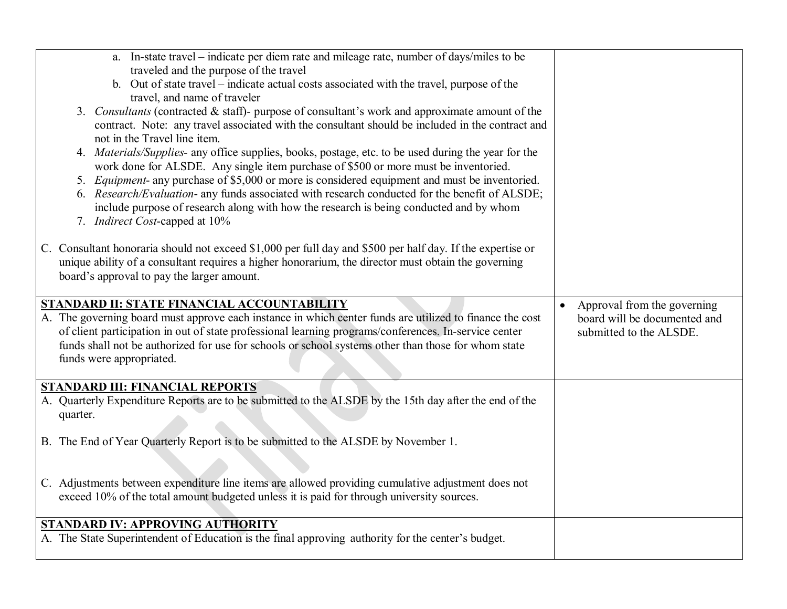| a. In-state travel – indicate per diem rate and mileage rate, number of days/miles to be<br>traveled and the purpose of the travel<br>b. Out of state travel - indicate actual costs associated with the travel, purpose of the<br>travel, and name of traveler<br>3. Consultants (contracted & staff)- purpose of consultant's work and approximate amount of the<br>contract. Note: any travel associated with the consultant should be included in the contract and<br>not in the Travel line item.                             |                                                                                                     |
|------------------------------------------------------------------------------------------------------------------------------------------------------------------------------------------------------------------------------------------------------------------------------------------------------------------------------------------------------------------------------------------------------------------------------------------------------------------------------------------------------------------------------------|-----------------------------------------------------------------------------------------------------|
| 4. Materials/Supplies- any office supplies, books, postage, etc. to be used during the year for the<br>work done for ALSDE. Any single item purchase of \$500 or more must be inventoried.<br>5. Equipment- any purchase of \$5,000 or more is considered equipment and must be inventoried.<br>6. Research/Evaluation- any funds associated with research conducted for the benefit of ALSDE;<br>include purpose of research along with how the research is being conducted and by whom<br>7. <i>Indirect Cost</i> -capped at 10% |                                                                                                     |
| C. Consultant honoraria should not exceed \$1,000 per full day and \$500 per half day. If the expertise or<br>unique ability of a consultant requires a higher honorarium, the director must obtain the governing<br>board's approval to pay the larger amount.                                                                                                                                                                                                                                                                    |                                                                                                     |
| STANDARD II: STATE FINANCIAL ACCOUNTABILITY<br>A. The governing board must approve each instance in which center funds are utilized to finance the cost<br>of client participation in out of state professional learning programs/conferences. In-service center<br>funds shall not be authorized for use for schools or school systems other than those for whom state<br>funds were appropriated.                                                                                                                                | Approval from the governing<br>$\bullet$<br>board will be documented and<br>submitted to the ALSDE. |
| <b>STANDARD III: FINANCIAL REPORTS</b><br>A. Quarterly Expenditure Reports are to be submitted to the ALSDE by the 15th day after the end of the<br>quarter.                                                                                                                                                                                                                                                                                                                                                                       |                                                                                                     |
| B. The End of Year Quarterly Report is to be submitted to the ALSDE by November 1.                                                                                                                                                                                                                                                                                                                                                                                                                                                 |                                                                                                     |
| C. Adjustments between expenditure line items are allowed providing cumulative adjustment does not<br>exceed 10% of the total amount budgeted unless it is paid for through university sources.                                                                                                                                                                                                                                                                                                                                    |                                                                                                     |
| <b>STANDARD IV: APPROVING AUTHORITY</b><br>A. The State Superintendent of Education is the final approving authority for the center's budget.                                                                                                                                                                                                                                                                                                                                                                                      |                                                                                                     |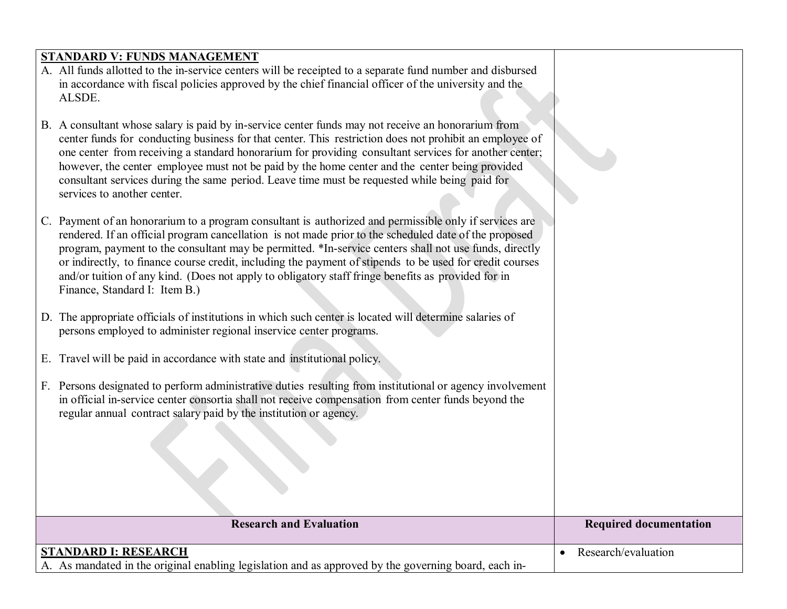## **STANDARD V: FUNDS MANAGEMENT**

- A. All funds allotted to the in-service centers will be receipted to a separate fund number and disbursed in accordance with fiscal policies approved by the chief financial officer of the university and the ALSDE.
- B. A consultant whose salary is paid by in-service center funds may not receive an honorarium from center funds for conducting business for that center. This restriction does not prohibit an employee of one center from receiving a standard honorarium for providing consultant services for another center; however, the center employee must not be paid by the home center and the center being provided consultant services during the same period. Leave time must be requested while being paid for services to another center.
- C. Payment of an honorarium to a program consultant is authorized and permissible only if services are rendered. If an official program cancellation is not made prior to the scheduled date of the proposed program, payment to the consultant may be permitted. \*In-service centers shall not use funds, directly or indirectly, to finance course credit, including the payment of stipends to be used for credit courses and/or tuition of any kind. (Does not apply to obligatory staff fringe benefits as provided for in Finance, Standard I: Item B.)
- D. The appropriate officials of institutions in which such center is located will determine salaries of persons employed to administer regional inservice center programs.
- E. Travel will be paid in accordance with state and institutional policy.
- F. Persons designated to perform administrative duties resulting from institutional or agency involvement in official in-service center consortia shall not receive compensation from center funds beyond the regular annual contract salary paid by the institution or agency.

| <b>Research and Evaluation</b>                                                                                               | <b>Required documentation</b> |
|------------------------------------------------------------------------------------------------------------------------------|-------------------------------|
| STANDARD I: RESEARCH<br>A. As mandated in the original enabling legislation and as approved by the governing board, each in- | Research/evaluation           |